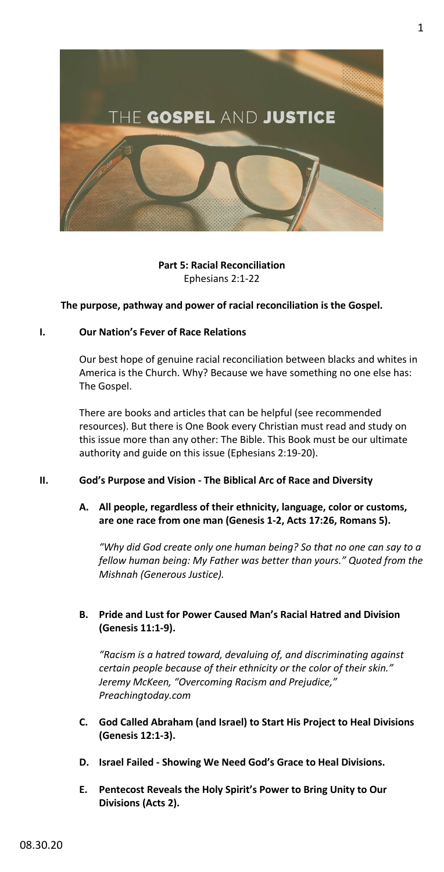

## **Part 5: Racial Reconciliation** Ephesians 2:1-22

### **The purpose, pathway and power of racial reconciliation is the Gospel.**

#### **I. Our Nation's Fever of Race Relations**

Our best hope of genuine racial reconciliation between blacks and whites in America is the Church. Why? Because we have something no one else has: The Gospel.

There are books and articles that can be helpful (see recommended resources). But there is One Book every Christian must read and study on this issue more than any other: The Bible. This Book must be our ultimate authority and guide on this issue (Ephesians 2:19-20).

### **II. God's Purpose and Vision - The Biblical Arc of Race and Diversity**

### **A. All people, regardless of their ethnicity, language, color or customs, are one race from one man (Genesis 1-2, Acts 17:26, Romans 5).**

*"Why did God create only one human being? So that no one can say to a fellow human being: My Father was better than yours." Quoted from the Mishnah (Generous Justice).*

# **B. Pride and Lust for Power Caused Man's Racial Hatred and Division (Genesis 11:1-9).**

*"Racism is a hatred toward, devaluing of, and discriminating against certain people because of their ethnicity or the color of their skin." Jeremy McKeen, "Overcoming Racism and Prejudice," Preachingtoday.com*

- **C. God Called Abraham (and Israel) to Start His Project to Heal Divisions (Genesis 12:1-3).**
- **D. Israel Failed - Showing We Need God's Grace to Heal Divisions.**
- **E. Pentecost Reveals the Holy Spirit's Power to Bring Unity to Our Divisions (Acts 2).**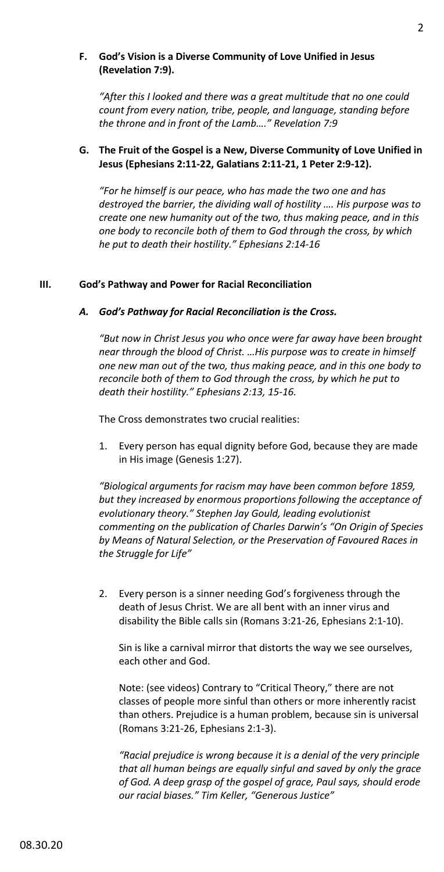### **F. God's Vision is a Diverse Community of Love Unified in Jesus (Revelation 7:9).**

*"After this I looked and there was a great multitude that no one could count from every nation, tribe, people, and language, standing before the throne and in front of the Lamb…." Revelation 7:9*

## **G. The Fruit of the Gospel is a New, Diverse Community of Love Unified in Jesus (Ephesians 2:11-22, Galatians 2:11-21, 1 Peter 2:9-12).**

*"For he himself is our peace, who has made the two one and has destroyed the barrier, the dividing wall of hostility …. His purpose was to create one new humanity out of the two, thus making peace, and in this one body to reconcile both of them to God through the cross, by which he put to death their hostility." Ephesians 2:14-16*

# **III. God's Pathway and Power for Racial Reconciliation**

# *A. God's Pathway for Racial Reconciliation is the Cross.*

*"But now in Christ Jesus you who once were far away have been brought near through the blood of Christ. …His purpose was to create in himself one new man out of the two, thus making peace, and in this one body to reconcile both of them to God through the cross, by which he put to death their hostility." Ephesians 2:13, 15-16.*

The Cross demonstrates two crucial realities:

1. Every person has equal dignity before God, because they are made in His image (Genesis 1:27).

*"Biological arguments for racism may have been common before 1859, but they increased by enormous proportions following the acceptance of evolutionary theory." Stephen Jay Gould, leading evolutionist commenting on the publication of Charles Darwin's "On Origin of Species by Means of Natural Selection, or the Preservation of Favoured Races in the Struggle for Life"*

2. Every person is a sinner needing God's forgiveness through the death of Jesus Christ. We are all bent with an inner virus and disability the Bible calls sin (Romans 3:21-26, Ephesians 2:1-10).

Sin is like a carnival mirror that distorts the way we see ourselves, each other and God.

Note: (see videos) Contrary to "Critical Theory," there are not classes of people more sinful than others or more inherently racist than others. Prejudice is a human problem, because sin is universal (Romans 3:21-26, Ephesians 2:1-3).

*"Racial prejudice is wrong because it is a denial of the very principle that all human beings are equally sinful and saved by only the grace of God. A deep grasp of the gospel of grace, Paul says, should erode our racial biases." Tim Keller, "Generous Justice"*